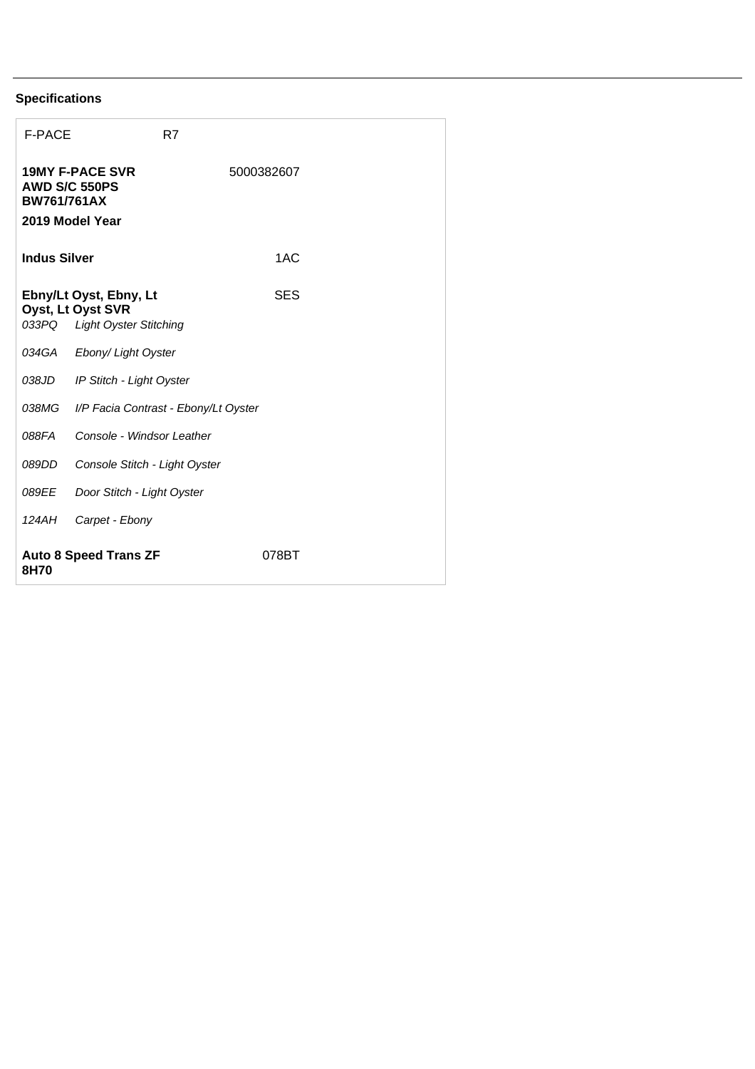## **Specifications**

| <b>F-PACE</b>                                          |                                                                              | R7                                   |            |  |
|--------------------------------------------------------|------------------------------------------------------------------------------|--------------------------------------|------------|--|
| AWD S/C 550PS<br><b>BW761/761AX</b><br>2019 Model Year | <b>19MY F-PACE SVR</b>                                                       |                                      | 5000382607 |  |
| <b>Indus Silver</b>                                    |                                                                              |                                      | 1AC        |  |
| 033PQ                                                  | Ebny/Lt Oyst, Ebny, Lt<br>Oyst, Lt Oyst SVR<br><b>Light Oyster Stitching</b> |                                      | SES        |  |
| 034GA                                                  | Ebony/ Light Oyster                                                          |                                      |            |  |
| 038JD                                                  | IP Stitch - Light Oyster                                                     |                                      |            |  |
| 038MG                                                  |                                                                              | I/P Facia Contrast - Ebony/Lt Oyster |            |  |
| 088FA                                                  | Console - Windsor Leather                                                    |                                      |            |  |
| 089DD                                                  | Console Stitch - Light Oyster                                                |                                      |            |  |
| 089EE                                                  | Door Stitch - Light Oyster                                                   |                                      |            |  |
| 124AH                                                  | Carpet - Ebony                                                               |                                      |            |  |
| <b>Auto 8 Speed Trans ZF</b><br>8H70                   |                                                                              | 078BT                                |            |  |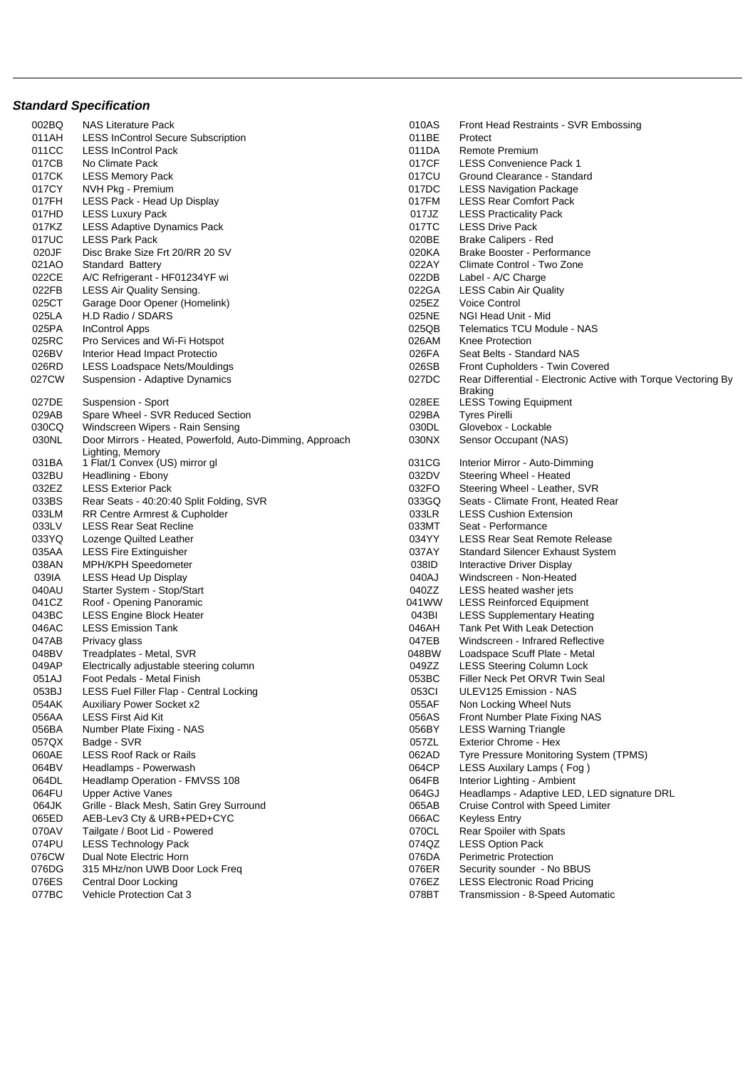## **Standard Specification**

| 002BQ          | NAS Literature Pack                                                          | 010AS          | Front Head Restraints - SVR Embossing                                                   |
|----------------|------------------------------------------------------------------------------|----------------|-----------------------------------------------------------------------------------------|
| 011AH          | <b>LESS InControl Secure Subscription</b>                                    | 011BE          | Protect                                                                                 |
| 011CC          | <b>LESS InControl Pack</b>                                                   | 011DA          | Remote Premium                                                                          |
| 017CB          | No Climate Pack                                                              | 017CF          | <b>LESS Convenience Pack 1</b>                                                          |
| 017CK          | <b>LESS Memory Pack</b>                                                      | 017CU          | Ground Clearance - Standard                                                             |
| 017CY          | NVH Pkg - Premium                                                            | 017DC          | <b>LESS Navigation Package</b>                                                          |
| 017FH          | LESS Pack - Head Up Display                                                  | 017FM          | <b>LESS Rear Comfort Pack</b>                                                           |
| 017HD          | <b>LESS Luxury Pack</b>                                                      | 017JZ          | <b>LESS Practicality Pack</b>                                                           |
| 017KZ          | <b>LESS Adaptive Dynamics Pack</b>                                           | 017TC          | <b>LESS Drive Pack</b>                                                                  |
| 017UC          | <b>LESS Park Pack</b>                                                        | 020BE          | <b>Brake Calipers - Red</b>                                                             |
| 020JF          | Disc Brake Size Frt 20/RR 20 SV                                              | 020KA          | Brake Booster - Performance                                                             |
| 021AO          | <b>Standard Battery</b>                                                      | 022AY          | Climate Control - Two Zone                                                              |
| 022CE          | A/C Refrigerant - HF01234YF wi                                               | 022DB          | Label - A/C Charge                                                                      |
| 022FB          | <b>LESS Air Quality Sensing.</b>                                             | 022GA          | <b>LESS Cabin Air Quality</b>                                                           |
| 025CT          | Garage Door Opener (Homelink)                                                | 025EZ          | Voice Control                                                                           |
| 025LA          | H.D Radio / SDARS                                                            | 025NE          | NGI Head Unit - Mid                                                                     |
| 025PA          | <b>InControl Apps</b>                                                        | 025QB          | Telematics TCU Module - NAS                                                             |
| 025RC          | Pro Services and Wi-Fi Hotspot                                               | 026AM          | Knee Protection                                                                         |
| 026BV          | Interior Head Impact Protectio                                               | 026FA          | Seat Belts - Standard NAS                                                               |
| 026RD          | <b>LESS Loadspace Nets/Mouldings</b>                                         | 026SB          | Front Cupholders - Twin Covered                                                         |
| 027CW          | Suspension - Adaptive Dynamics                                               | 027DC          | Rear Differential - Electronic Active with Torque                                       |
|                |                                                                              |                | <b>Braking</b>                                                                          |
| 027DE          | Suspension - Sport                                                           | 028EE          | <b>LESS Towing Equipment</b>                                                            |
| 029AB          | Spare Wheel - SVR Reduced Section                                            | 029BA          | <b>Tyres Pirelli</b>                                                                    |
| 030CQ          | Windscreen Wipers - Rain Sensing                                             | 030DL          | Glovebox - Lockable                                                                     |
| 030NL          | Door Mirrors - Heated, Powerfold, Auto-Dimming, Approach<br>Lighting, Memory | 030NX          | Sensor Occupant (NAS)                                                                   |
| 031BA          | 1 Flat/1 Convex (US) mirror gl                                               | 031CG          | Interior Mirror - Auto-Dimming                                                          |
| 032BU          | Headlining - Ebony                                                           | 032DV          | Steering Wheel - Heated                                                                 |
| 032EZ          | <b>LESS Exterior Pack</b>                                                    | 032FO          | Steering Wheel - Leather, SVR                                                           |
| 033BS          | Rear Seats - 40:20:40 Split Folding, SVR                                     | 033GQ          | Seats - Climate Front, Heated Rear                                                      |
| 033LM          | RR Centre Armrest & Cupholder                                                | 033LR          | <b>LESS Cushion Extension</b>                                                           |
| 033LV          | <b>LESS Rear Seat Recline</b>                                                | 033MT          | Seat - Performance                                                                      |
| 033YQ          | Lozenge Quilted Leather                                                      | 034YY          | LESS Rear Seat Remote Release                                                           |
| 035AA          | LESS Fire Extinguisher                                                       | 037AY          | <b>Standard Silencer Exhaust System</b>                                                 |
| 038AN          | MPH/KPH Speedometer                                                          | 038ID          | Interactive Driver Display                                                              |
| 039IA          | <b>LESS Head Up Display</b>                                                  | 040AJ          | Windscreen - Non-Heated                                                                 |
| 040AU          | Starter System - Stop/Start                                                  | 040ZZ          | LESS heated washer jets                                                                 |
| 041CZ          | Roof - Opening Panoramic                                                     | 041WW          | <b>LESS Reinforced Equipment</b>                                                        |
| 043BC          | <b>LESS Engine Block Heater</b>                                              | 043BI          | <b>LESS Supplementary Heating</b>                                                       |
| 046AC          | <b>LESS Emission Tank</b>                                                    | 046AH          | <b>Tank Pet With Leak Detection</b>                                                     |
| 047AB          | Privacy glass                                                                | 047EB          | Windscreen - Infrared Reflective                                                        |
| 048BV          | Treadplates - Metal, SVR                                                     | 048BW          | Loadspace Scuff Plate - Metal                                                           |
| 049AP          | Electrically adjustable steering column                                      | 049ZZ          | <b>LESS Steering Column Lock</b>                                                        |
| 051AJ          | Foot Pedals - Metal Finish                                                   | 053BC          | Filler Neck Pet ORVR Twin Seal                                                          |
| 053BJ          | LESS Fuel Filler Flap - Central Locking                                      | 053CI          | ULEV125 Emission - NAS                                                                  |
| 054AK          | <b>Auxiliary Power Socket x2</b>                                             | 055AF          | Non Locking Wheel Nuts                                                                  |
| 056AA          | <b>LESS First Aid Kit</b>                                                    | 056AS          | Front Number Plate Fixing NAS                                                           |
| 056BA          | Number Plate Fixing - NAS                                                    | 056BY          | <b>LESS Warning Triangle</b>                                                            |
| 057QX          | Badge - SVR                                                                  | 057ZL          | Exterior Chrome - Hex                                                                   |
| 060AE          | LESS Roof Rack or Rails                                                      | 062AD          | Tyre Pressure Monitoring System (TPMS)                                                  |
| 064BV<br>064DL | Headlamps - Powerwash                                                        | 064CP          | LESS Auxilary Lamps (Fog)                                                               |
| 064FU          | Headlamp Operation - FMVSS 108<br><b>Upper Active Vanes</b>                  | 064FB<br>064GJ | Interior Lighting - Ambient                                                             |
| 064JK          | Grille - Black Mesh, Satin Grey Surround                                     | 065AB          | Headlamps - Adaptive LED, LED signature DRL<br><b>Cruise Control with Speed Limiter</b> |
| 065ED          | AEB-Lev3 Cty & URB+PED+CYC                                                   | 066AC          | <b>Keyless Entry</b>                                                                    |
| 070AV          |                                                                              | 070CL          | Rear Spoiler with Spats                                                                 |
| 074PU          | Tailgate / Boot Lid - Powered<br><b>LESS Technology Pack</b>                 | 074QZ          | <b>LESS Option Pack</b>                                                                 |
| 076CW          | Dual Note Electric Horn                                                      | 076DA          | <b>Perimetric Protection</b>                                                            |
| 076DG          | 315 MHz/non UWB Door Lock Freq                                               | 076ER          | Security sounder - No BBUS                                                              |
| 076ES          | Central Door Locking                                                         | 076EZ          | <b>LESS Electronic Road Pricing</b>                                                     |
| 077BC          | Vehicle Protection Cat 3                                                     | 078BT          | Transmission - 8-Speed Automatic                                                        |
|                |                                                                              |                |                                                                                         |

| 002BQ | <b>NAS Literature Pack</b>                               | 010AS | Front Head Restraints - SVR Embossing                          |
|-------|----------------------------------------------------------|-------|----------------------------------------------------------------|
| 011AH | <b>LESS InControl Secure Subscription</b>                | 011BE | Protect                                                        |
| 011CC | <b>LESS InControl Pack</b>                               | 011DA | Remote Premium                                                 |
| 017CB | No Climate Pack                                          | 017CF | <b>LESS Convenience Pack 1</b>                                 |
| 017CK | <b>LESS Memory Pack</b>                                  | 017CU | Ground Clearance - Standard                                    |
| 017CY | NVH Pkg - Premium                                        | 017DC | <b>LESS Navigation Package</b>                                 |
| 017FH | LESS Pack - Head Up Display                              | 017FM | <b>LESS Rear Comfort Pack</b>                                  |
| 017HD | <b>LESS Luxury Pack</b>                                  | 017JZ | <b>LESS Practicality Pack</b>                                  |
| 017KZ | LESS Adaptive Dynamics Pack                              | 017TC | <b>LESS Drive Pack</b>                                         |
| 017UC | <b>LESS Park Pack</b>                                    | 020BE | <b>Brake Calipers - Red</b>                                    |
| 020JF | Disc Brake Size Frt 20/RR 20 SV                          | 020KA | Brake Booster - Performance                                    |
| 021AO | <b>Standard Battery</b>                                  | 022AY | Climate Control - Two Zone                                     |
| 022CE | A/C Refrigerant - HF01234YF wi                           | 022DB | Label - A/C Charge                                             |
| 022FB | <b>LESS Air Quality Sensing.</b>                         | 022GA | <b>LESS Cabin Air Quality</b>                                  |
| 025CT | Garage Door Opener (Homelink)                            | 025EZ | <b>Voice Control</b>                                           |
| 025LA | H.D Radio / SDARS                                        | 025NE | NGI Head Unit - Mid                                            |
| 025PA | <b>InControl Apps</b>                                    | 025QB | Telematics TCU Module - NAS                                    |
| 025RC | Pro Services and Wi-Fi Hotspot                           | 026AM | <b>Knee Protection</b>                                         |
| 026BV | Interior Head Impact Protectio                           | 026FA | Seat Belts - Standard NAS                                      |
| 026RD | LESS Loadspace Nets/Mouldings                            | 026SB | Front Cupholders - Twin Covered                                |
| 027CW | Suspension - Adaptive Dynamics                           | 027DC | Rear Differential - Electronic Active with Torque Vectoring By |
|       |                                                          |       | <b>Braking</b>                                                 |
| 027DE | Suspension - Sport                                       | 028EE | <b>LESS Towing Equipment</b>                                   |
| 029AB | Spare Wheel - SVR Reduced Section                        | 029BA | <b>Tyres Pirelli</b>                                           |
| 030CQ | Windscreen Wipers - Rain Sensing                         | 030DL | Glovebox - Lockable                                            |
| 030NL | Door Mirrors - Heated, Powerfold, Auto-Dimming, Approach | 030NX | Sensor Occupant (NAS)                                          |
|       | Lighting, Memory                                         |       |                                                                |
| 031BA | 1 Flat/1 Convex (US) mirror gl                           | 031CG | Interior Mirror - Auto-Dimming                                 |
| 032BU | Headlining - Ebony                                       | 032DV | Steering Wheel - Heated                                        |
| 032EZ | <b>LESS Exterior Pack</b>                                | 032FO | Steering Wheel - Leather, SVR                                  |
| 033BS | Rear Seats - 40:20:40 Split Folding, SVR                 | 033GQ | Seats - Climate Front, Heated Rear                             |
| 033LM | RR Centre Armrest & Cupholder                            | 033LR | <b>LESS Cushion Extension</b>                                  |
| 033LV | <b>LESS Rear Seat Recline</b>                            | 033MT | Seat - Performance                                             |
| 033YQ | Lozenge Quilted Leather                                  | 034YY | LESS Rear Seat Remote Release                                  |
| 035AA | <b>LESS Fire Extinguisher</b>                            | 037AY | Standard Silencer Exhaust System                               |
| 038AN | MPH/KPH Speedometer                                      | 038ID | Interactive Driver Display                                     |
| 039IA | <b>LESS Head Up Display</b>                              | 040AJ | Windscreen - Non-Heated                                        |
| 040AU | Starter System - Stop/Start                              | 040ZZ | LESS heated washer jets                                        |
| 041CZ | Roof - Opening Panoramic                                 | 041WW | <b>LESS Reinforced Equipment</b>                               |
| 043BC | <b>LESS Engine Block Heater</b>                          | 043BI | <b>LESS Supplementary Heating</b>                              |
| 046AC | <b>LESS Emission Tank</b>                                | 046AH | Tank Pet With Leak Detection                                   |
| 047AB | Privacy glass                                            | 047EB | Windscreen - Infrared Reflective                               |
| 048BV | Treadplates - Metal, SVR                                 | 048BW | Loadspace Scuff Plate - Metal                                  |
| 049AP | Electrically adjustable steering column                  | 049ZZ | <b>LESS Steering Column Lock</b>                               |
|       |                                                          | 053BC |                                                                |
| 051AJ | Foot Pedals - Metal Finish                               |       | Filler Neck Pet ORVR Twin Seal                                 |
| 053BJ | LESS Fuel Filler Flap - Central Locking                  | 053CI | ULEV125 Emission - NAS                                         |
| 054AK | <b>Auxiliary Power Socket x2</b>                         | 055AF | Non Locking Wheel Nuts                                         |
| 056AA | LESS First Aid Kit                                       | 056AS | Front Number Plate Fixing NAS                                  |
| 056BA | Number Plate Fixing - NAS                                | 056BY | <b>LESS Warning Triangle</b>                                   |
| 057QX | Badge - SVR                                              | 057ZL | Exterior Chrome - Hex                                          |
| 060AE | <b>LESS Roof Rack or Rails</b>                           | 062AD | Tyre Pressure Monitoring System (TPMS)                         |
| 064BV | Headlamps - Powerwash                                    | 064CP | LESS Auxilary Lamps (Fog)                                      |
| 064DL | Headlamp Operation - FMVSS 108                           | 064FB | Interior Lighting - Ambient                                    |
| 064FU | <b>Upper Active Vanes</b>                                | 064GJ | Headlamps - Adaptive LED, LED signature DRL                    |
| 064JK | Grille - Black Mesh, Satin Grey Surround                 | 065AB | Cruise Control with Speed Limiter                              |
| 065ED | AEB-Lev3 Cty & URB+PED+CYC                               | 066AC | <b>Keyless Entry</b>                                           |
| 070AV | Tailgate / Boot Lid - Powered                            | 070CL | Rear Spoiler with Spats                                        |
| 074PU | <b>LESS Technology Pack</b>                              | 074QZ | <b>LESS Option Pack</b>                                        |
| 076CW | Dual Note Electric Horn                                  | 076DA | <b>Perimetric Protection</b>                                   |
| 076DG | 315 MHz/non UWB Door Lock Freq                           | 076ER | Security sounder - No BBUS                                     |
| 076ES | Central Door Locking                                     | 076EZ | <b>LESS Electronic Road Pricing</b>                            |
| 077BC | Vehicle Protection Cat 3                                 | 078BT | Transmission - 8-Speed Automatic                               |